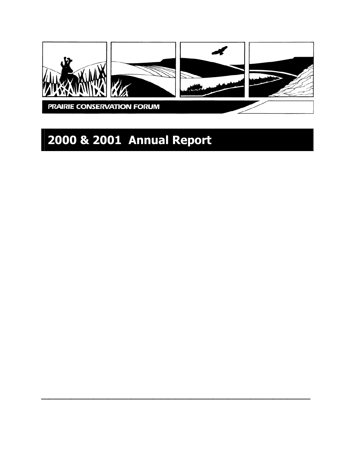

# **2000 & 2001 Annual Report**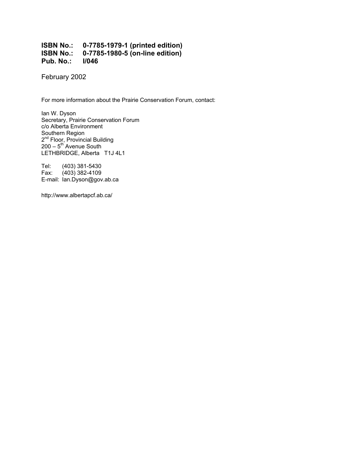#### **ISBN No.: 0-7785-1979-1 (printed edition) ISBN No.: 0-7785-1980-5 (on-line edition) Pub. No.: I/046**

February 2002

For more information about the Prairie Conservation Forum, contact:

Ian W. Dyson Secretary, Prairie Conservation Forum c/o Alberta Environment Southern Region 2<sup>nd</sup> Floor, Provincial Building  $200 - 5$ <sup>th</sup> Avenue South LETHBRIDGE, Alberta T1J 4L1

Tel: (403) 381-5430 Fax: (403) 382-4109 E-mail: Ian.Dyson@gov.ab.ca

http://www.albertapcf.ab.ca/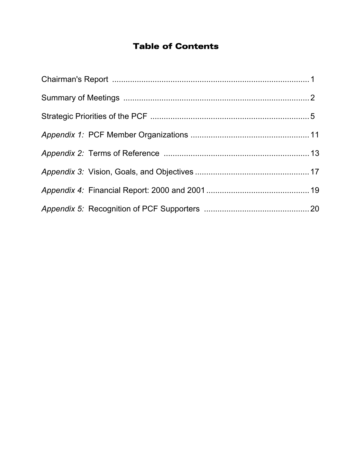### Table of Contents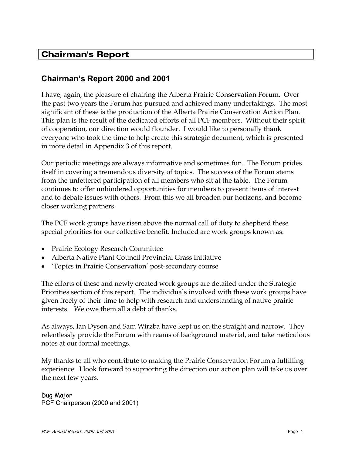### Chairman's Report

### **Chairman's Report 2000 and 2001**

I have, again, the pleasure of chairing the Alberta Prairie Conservation Forum. Over the past two years the Forum has pursued and achieved many undertakings. The most significant of these is the production of the Alberta Prairie Conservation Action Plan. This plan is the result of the dedicated efforts of all PCF members. Without their spirit of cooperation, our direction would flounder. I would like to personally thank everyone who took the time to help create this strategic document, which is presented in more detail in Appendix 3 of this report.

Our periodic meetings are always informative and sometimes fun. The Forum prides itself in covering a tremendous diversity of topics. The success of the Forum stems from the unfettered participation of all members who sit at the table. The Forum continues to offer unhindered opportunities for members to present items of interest and to debate issues with others. From this we all broaden our horizons, and become closer working partners.

The PCF work groups have risen above the normal call of duty to shepherd these special priorities for our collective benefit. Included are work groups known as:

- Prairie Ecology Research Committee
- Alberta Native Plant Council Provincial Grass Initiative
- 'Topics in Prairie Conservation' post-secondary course

The efforts of these and newly created work groups are detailed under the Strategic Priorities section of this report. The individuals involved with these work groups have given freely of their time to help with research and understanding of native prairie interests. We owe them all a debt of thanks.

As always, Ian Dyson and Sam Wirzba have kept us on the straight and narrow. They relentlessly provide the Forum with reams of background material, and take meticulous notes at our formal meetings.

My thanks to all who contribute to making the Prairie Conservation Forum a fulfilling experience. I look forward to supporting the direction our action plan will take us over the next few years.

Dug Major PCF Chairperson (2000 and 2001)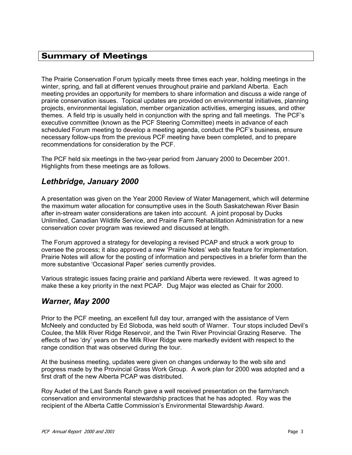### Summary of Meetings

The Prairie Conservation Forum typically meets three times each year, holding meetings in the winter, spring, and fall at different venues throughout prairie and parkland Alberta. Each meeting provides an opportunity for members to share information and discuss a wide range of prairie conservation issues. Topical updates are provided on environmental initiatives, planning projects, environmental legislation, member organization activities, emerging issues, and other themes. A field trip is usually held in conjunction with the spring and fall meetings. The PCF's executive committee (known as the PCF Steering Committee) meets in advance of each scheduled Forum meeting to develop a meeting agenda, conduct the PCF's business, ensure necessary follow-ups from the previous PCF meeting have been completed, and to prepare recommendations for consideration by the PCF.

The PCF held six meetings in the two-year period from January 2000 to December 2001. Highlights from these meetings are as follows.

### *Lethbridge, January 2000*

A presentation was given on the Year 2000 Review of Water Management, which will determine the maximum water allocation for consumptive uses in the South Saskatchewan River Basin after in-stream water considerations are taken into account. A joint proposal by Ducks Unlimited, Canadian Wildlife Service, and Prairie Farm Rehabilitation Administration for a new conservation cover program was reviewed and discussed at length.

The Forum approved a strategy for developing a revised PCAP and struck a work group to oversee the process; it also approved a new 'Prairie Notes' web site feature for implementation. Prairie Notes will allow for the posting of information and perspectives in a briefer form than the more substantive 'Occasional Paper' series currently provides.

Various strategic issues facing prairie and parkland Alberta were reviewed. It was agreed to make these a key priority in the next PCAP. Dug Major was elected as Chair for 2000.

### *Warner, May 2000*

Prior to the PCF meeting, an excellent full day tour, arranged with the assistance of Vern McNeely and conducted by Ed Sloboda, was held south of Warner. Tour stops included Devil's Coulee, the Milk River Ridge Reservoir, and the Twin River Provincial Grazing Reserve. The effects of two 'dry' years on the Milk River Ridge were markedly evident with respect to the range condition that was observed during the tour.

At the business meeting, updates were given on changes underway to the web site and progress made by the Provincial Grass Work Group. A work plan for 2000 was adopted and a first draft of the new Alberta PCAP was distributed.

Roy Audet of the Last Sands Ranch gave a well received presentation on the farm/ranch conservation and environmental stewardship practices that he has adopted. Roy was the recipient of the Alberta Cattle Commission's Environmental Stewardship Award.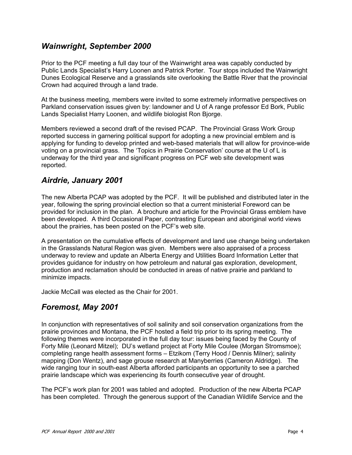### *Wainwright, September 2000*

Prior to the PCF meeting a full day tour of the Wainwright area was capably conducted by Public Lands Specialist's Harry Loonen and Patrick Porter. Tour stops included the Wainwright Dunes Ecological Reserve and a grasslands site overlooking the Battle River that the provincial Crown had acquired through a land trade.

At the business meeting, members were invited to some extremely informative perspectives on Parkland conservation issues given by: landowner and U of A range professor Ed Bork, Public Lands Specialist Harry Loonen, and wildlife biologist Ron Bjorge.

Members reviewed a second draft of the revised PCAP. The Provincial Grass Work Group reported success in garnering political support for adopting a new provincial emblem and is applying for funding to develop printed and web-based materials that will allow for province-wide voting on a provincial grass. The 'Topics in Prairie Conservation' course at the U of L is underway for the third year and significant progress on PCF web site development was reported.

### *Airdrie, January 2001*

The new Alberta PCAP was adopted by the PCF. It will be published and distributed later in the year, following the spring provincial election so that a current ministerial Foreword can be provided for inclusion in the plan. A brochure and article for the Provincial Grass emblem have been developed. A third Occasional Paper, contrasting European and aboriginal world views about the prairies, has been posted on the PCF's web site.

A presentation on the cumulative effects of development and land use change being undertaken in the Grasslands Natural Region was given. Members were also appraised of a process underway to review and update an Alberta Energy and Utilities Board Information Letter that provides guidance for industry on how petroleum and natural gas exploration, development, production and reclamation should be conducted in areas of native prairie and parkland to minimize impacts.

Jackie McCall was elected as the Chair for 2001.

### *Foremost, May 2001*

In conjunction with representatives of soil salinity and soil conservation organizations from the prairie provinces and Montana, the PCF hosted a field trip prior to its spring meeting. The following themes were incorporated in the full day tour: issues being faced by the County of Forty Mile (Leonard Mitzel); DU's wetland project at Forty Mile Coulee (Morgan Stromsmoe); completing range health assessment forms – Etzikom (Terry Hood / Dennis Milner); salinity mapping (Don Wentz), and sage grouse research at Manyberries (Cameron Aldridge). The wide ranging tour in south-east Alberta afforded participants an opportunity to see a parched prairie landscape which was experiencing its fourth consecutive year of drought.

The PCF's work plan for 2001 was tabled and adopted. Production of the new Alberta PCAP has been completed. Through the generous support of the Canadian Wildlife Service and the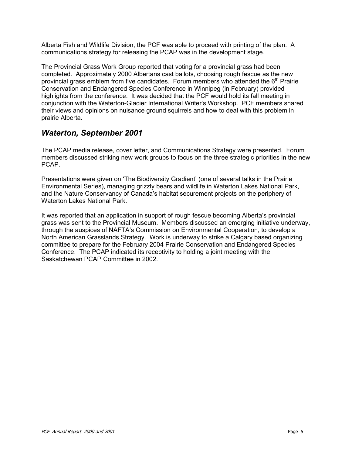Alberta Fish and Wildlife Division, the PCF was able to proceed with printing of the plan. A communications strategy for releasing the PCAP was in the development stage.

The Provincial Grass Work Group reported that voting for a provincial grass had been completed. Approximately 2000 Albertans cast ballots, choosing rough fescue as the new provincial grass emblem from five candidates. Forum members who attended the  $6<sup>th</sup>$  Prairie Conservation and Endangered Species Conference in Winnipeg (in February) provided highlights from the conference. It was decided that the PCF would hold its fall meeting in conjunction with the Waterton-Glacier International Writer's Workshop. PCF members shared their views and opinions on nuisance ground squirrels and how to deal with this problem in prairie Alberta.

### *Waterton, September 2001*

The PCAP media release, cover letter, and Communications Strategy were presented. Forum members discussed striking new work groups to focus on the three strategic priorities in the new PCAP.

Presentations were given on 'The Biodiversity Gradient' (one of several talks in the Prairie Environmental Series), managing grizzly bears and wildlife in Waterton Lakes National Park, and the Nature Conservancy of Canada's habitat securement projects on the periphery of Waterton Lakes National Park.

It was reported that an application in support of rough fescue becoming Alberta's provincial grass was sent to the Provincial Museum. Members discussed an emerging initiative underway, through the auspices of NAFTA's Commission on Environmental Cooperation, to develop a North American Grasslands Strategy. Work is underway to strike a Calgary based organizing committee to prepare for the February 2004 Prairie Conservation and Endangered Species Conference. The PCAP indicated its receptivity to holding a joint meeting with the Saskatchewan PCAP Committee in 2002.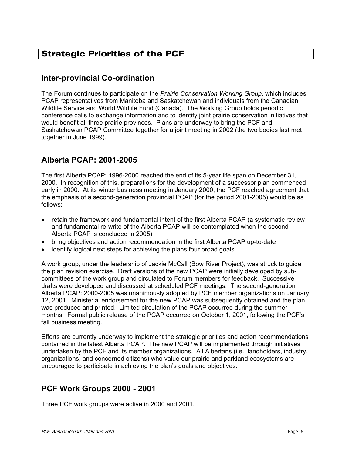### Strategic Priorities of the PCF

### **Inter-provincial Co-ordination**

The Forum continues to participate on the *Prairie Conservation Working Group*, which includes PCAP representatives from Manitoba and Saskatchewan and individuals from the Canadian Wildlife Service and World Wildlife Fund (Canada). The Working Group holds periodic conference calls to exchange information and to identify joint prairie conservation initiatives that would benefit all three prairie provinces. Plans are underway to bring the PCF and Saskatchewan PCAP Committee together for a joint meeting in 2002 (the two bodies last met together in June 1999).

### **Alberta PCAP: 2001-2005**

The first Alberta PCAP: 1996-2000 reached the end of its 5-year life span on December 31, 2000. In recognition of this, preparations for the development of a successor plan commenced early in 2000. At its winter business meeting in January 2000, the PCF reached agreement that the emphasis of a second-generation provincial PCAP (for the period 2001-2005) would be as follows:

- retain the framework and fundamental intent of the first Alberta PCAP (a systematic review and fundamental re-write of the Alberta PCAP will be contemplated when the second Alberta PCAP is concluded in 2005)
- bring objectives and action recommendation in the first Alberta PCAP up-to-date
- identify logical next steps for achieving the plans four broad goals

A work group, under the leadership of Jackie McCall (Bow River Project), was struck to guide the plan revision exercise. Draft versions of the new PCAP were initially developed by subcommittees of the work group and circulated to Forum members for feedback. Successive drafts were developed and discussed at scheduled PCF meetings. The second-generation Alberta PCAP: 2000-2005 was unanimously adopted by PCF member organizations on January 12, 2001. Ministerial endorsement for the new PCAP was subsequently obtained and the plan was produced and printed. Limited circulation of the PCAP occurred during the summer months. Formal public release of the PCAP occurred on October 1, 2001, following the PCF's fall business meeting.

Efforts are currently underway to implement the strategic priorities and action recommendations contained in the latest Alberta PCAP. The new PCAP will be implemented through initiatives undertaken by the PCF and its member organizations. All Albertans (i.e., landholders, industry, organizations, and concerned citizens) who value our prairie and parkland ecosystems are encouraged to participate in achieving the plan's goals and objectives.

### **PCF Work Groups 2000 - 2001**

Three PCF work groups were active in 2000 and 2001.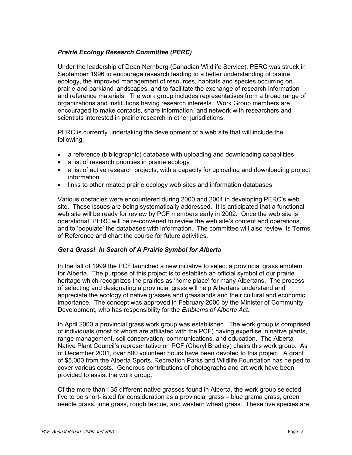#### *Prairie Ecology Research Committee (PERC)*

Under the leadership of Dean Nernberg (Canadian Wildlife Service), PERC was struck in September 1996 to encourage research leading to a better understanding of prairie ecology, the improved management of resources, habitats and species occurring on prairie and parkland landscapes, and to facilitate the exchange of research information and reference materials. The work group includes representatives from a broad range of organizations and institutions having research interests. Work Group members are encouraged to make contacts, share information, and network with researchers and scientists interested in prairie research in other jurisdictions.

PERC is currently undertaking the development of a web site that will include the following:

- a reference (bibliographic) database with uploading and downloading capabilities
- a list of research priorities in prairie ecology
- a list of active research projects, with a capacity for uploading and downloading project information
- links to other related prairie ecology web sites and information databases

Various obstacles were encountered during 2000 and 2001 in developing PERC's web site. These issues are being systematically addressed. It is anticipated that a functional web site will be ready for review by PCF members early in 2002. Once the web site is operational, PERC will be re-convened to review the web site's content and operations, and to 'populate' the databases with information. The committee will also review its Terms of Reference and chart the course for future activities.

#### *Get a Grass! In Search of A Prairie Symbol for Alberta*

In the fall of 1999 the PCF launched a new initiative to select a provincial grass emblem for Alberta. The purpose of this project is to establish an official symbol of our prairie heritage which recognizes the prairies as 'home place' for many Albertans. The process of selecting and designating a provincial grass will help Albertans understand and appreciate the ecology of native grasses and grasslands and their cultural and economic importance. The concept was approved in February 2000 by the Minister of Community Development, who has responsibility for the *Emblems of Alberta Act*.

In April 2000 a provincial grass work group was established. The work group is comprised of individuals (most of whom are affiliated with the PCF) having expertise in native plants, range management, soil conservation, communications, and education. The Alberta Native Plant Council's representative on PCF (Cheryl Bradley) chairs this work group. As of December 2001, over 500 volunteer hours have been devoted to this project. A grant of \$5,000 from the Alberta Sports, Recreation Parks and Wildlife Foundation has helped to cover various costs. Generous contributions of photographs and art work have been provided to assist the work group.

Of the more than 135 different native grasses found in Alberta, the work group selected five to be short-listed for consideration as a provincial grass – blue grama grass, green needle grass, june grass, rough fescue, and western wheat grass. These five species are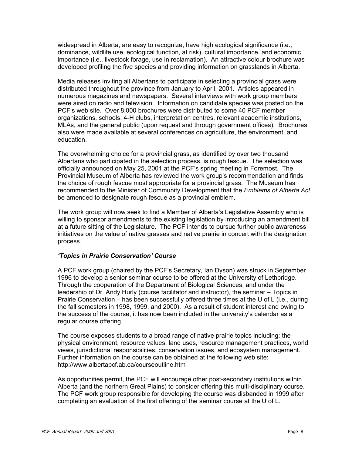widespread in Alberta, are easy to recognize, have high ecological significance (i.e., dominance, wildlife use, ecological function, at risk), cultural importance, and economic importance (i.e., livestock forage, use in reclamation). An attractive colour brochure was developed profiling the five species and providing information on grasslands in Alberta.

Media releases inviting all Albertans to participate in selecting a provincial grass were distributed throughout the province from January to April, 2001. Articles appeared in numerous magazines and newspapers. Several interviews with work group members were aired on radio and television. Information on candidate species was posted on the PCF's web site. Over 8,000 brochures were distributed to some 40 PCF member organizations, schools, 4-H clubs, interpretation centres, relevant academic institutions, MLAs, and the general public (upon request and through government offices). Brochures also were made available at several conferences on agriculture, the environment, and education.

The overwhelming choice for a provincial grass, as identified by over two thousand Albertans who participated in the selection process, is rough fescue. The selection was officially announced on May 25, 2001 at the PCF's spring meeting in Foremost. The Provincial Museum of Alberta has reviewed the work group's recommendation and finds the choice of rough fescue most appropriate for a provincial grass. The Museum has recommended to the Minister of Community Development that the *Emblems of Alberta Act* be amended to designate rough fescue as a provincial emblem.

The work group will now seek to find a Member of Alberta's Legislative Assembly who is willing to sponsor amendments to the existing legislation by introducing an amendment bill at a future sitting of the Legislature. The PCF intends to pursue further public awareness initiatives on the value of native grasses and native prairie in concert with the designation process.

#### *'Topics in Prairie Conservation' Course*

A PCF work group (chaired by the PCF's Secretary, Ian Dyson) was struck in September 1996 to develop a senior seminar course to be offered at the University of Lethbridge. Through the cooperation of the Department of Biological Sciences, and under the leadership of Dr. Andy Hurly (course facilitator and instructor), the seminar – Topics in Prairie Conservation – has been successfully offered three times at the U of L (i.e., during the fall semesters in 1998, 1999, and 2000). As a result of student interest and owing to the success of the course, it has now been included in the university's calendar as a regular course offering.

The course exposes students to a broad range of native prairie topics including: the physical environment, resource values, land uses, resource management practices, world views, jurisdictional responsibilities, conservation issues, and ecosystem management. Further information on the course can be obtained at the following web site: http://www.albertapcf.ab.ca/courseoutline.htm

As opportunities permit, the PCF will encourage other post-secondary institutions within Alberta (and the northern Great Plains) to consider offering this multi-disciplinary course. The PCF work group responsible for developing the course was disbanded in 1999 after completing an evaluation of the first offering of the seminar course at the U of L.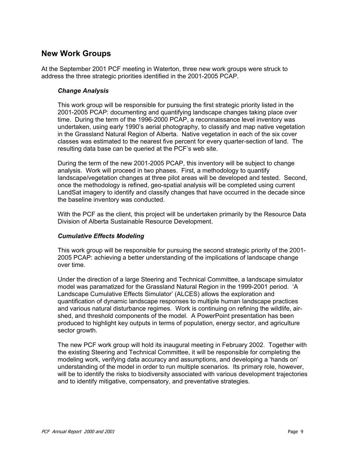### **New Work Groups**

At the September 2001 PCF meeting in Waterton, three new work groups were struck to address the three strategic priorities identified in the 2001-2005 PCAP.

#### *Change Analysis*

This work group will be responsible for pursuing the first strategic priority listed in the 2001-2005 PCAP: documenting and quantifying landscape changes taking place over time. During the term of the 1996-2000 PCAP, a reconnaissance level inventory was undertaken, using early 1990's aerial photography, to classify and map native vegetation in the Grassland Natural Region of Alberta. Native vegetation in each of the six cover classes was estimated to the nearest five percent for every quarter-section of land. The resulting data base can be queried at the PCF's web site.

During the term of the new 2001-2005 PCAP, this inventory will be subject to change analysis. Work will proceed in two phases. First, a methodology to quantify landscape/vegetation changes at three pilot areas will be developed and tested. Second, once the methodology is refined, geo-spatial analysis will be completed using current LandSat imagery to identify and classify changes that have occurred in the decade since the baseline inventory was conducted.

With the PCF as the client, this project will be undertaken primarily by the Resource Data Division of Alberta Sustainable Resource Development.

#### *Cumulative Effects Modeling*

This work group will be responsible for pursuing the second strategic priority of the 2001- 2005 PCAP: achieving a better understanding of the implications of landscape change over time.

Under the direction of a large Steering and Technical Committee, a landscape simulator model was paramatized for the Grassland Natural Region in the 1999-2001 period. 'A Landscape Cumulative Effects Simulator' (ALCES) allows the exploration and quantification of dynamic landscape responses to multiple human landscape practices and various natural disturbance regimes. Work is continuing on refining the wildlife, airshed, and threshold components of the model. A PowerPoint presentation has been produced to highlight key outputs in terms of population, energy sector, and agriculture sector growth.

The new PCF work group will hold its inaugural meeting in February 2002. Together with the existing Steering and Technical Committee, it will be responsible for completing the modeling work, verifying data accuracy and assumptions, and developing a 'hands on' understanding of the model in order to run multiple scenarios. Its primary role, however, will be to identify the risks to biodiversity associated with various development trajectories and to identify mitigative, compensatory, and preventative strategies.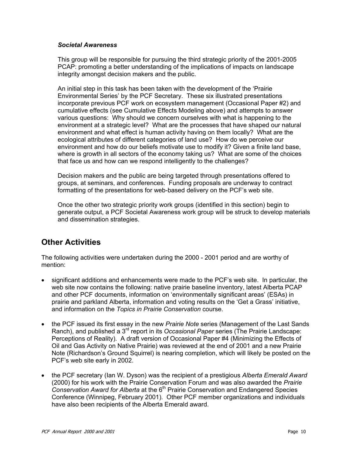#### *Societal Awareness*

This group will be responsible for pursuing the third strategic priority of the 2001-2005 PCAP: promoting a better understanding of the implications of impacts on landscape integrity amongst decision makers and the public.

An initial step in this task has been taken with the development of the 'Prairie Environmental Series' by the PCF Secretary. These six illustrated presentations incorporate previous PCF work on ecosystem management (Occasional Paper #2) and cumulative effects (see Cumulative Effects Modeling above) and attempts to answer various questions: Why should we concern ourselves with what is happening to the environment at a strategic level? What are the processes that have shaped our natural environment and what effect is human activity having on them locally? What are the ecological attributes of different categories of land use? How do we perceive our environment and how do our beliefs motivate use to modify it? Given a finite land base, where is growth in all sectors of the economy taking us? What are some of the choices that face us and how can we respond intelligently to the challenges?

Decision makers and the public are being targeted through presentations offered to groups, at seminars, and conferences. Funding proposals are underway to contract formatting of the presentations for web-based delivery on the PCF's web site.

Once the other two strategic priority work groups (identified in this section) begin to generate output, a PCF Societal Awareness work group will be struck to develop materials and dissemination strategies.

### **Other Activities**

The following activities were undertaken during the 2000 - 2001 period and are worthy of mention:

- significant additions and enhancements were made to the PCF's web site. In particular, the web site now contains the following: native prairie baseline inventory, latest Alberta PCAP and other PCF documents, information on 'environmentally significant areas' (ESAs) in prairie and parkland Alberta, information and voting results on the 'Get a Grass' initiative, and information on the *Topics in Prairie Conservation* course.
- the PCF issued its first essay in the new *Prairie Note* series (Management of the Last Sands Ranch), and published a 3<sup>rd</sup> report in its *Occasional Paper* series (The Prairie Landscape: Perceptions of Reality). A draft version of Occasional Paper #4 (Minimizing the Effects of Oil and Gas Activity on Native Prairie) was reviewed at the end of 2001 and a new Prairie Note (Richardson's Ground Squirrel) is nearing completion, which will likely be posted on the PCF's web site early in 2002.
- the PCF secretary (Ian W. Dyson) was the recipient of a prestigious *Alberta Emerald Award* (2000) for his work with the Prairie Conservation Forum and was also awarded the *Prairie Conservation Award for Alberta* at the 6th Prairie Conservation and Endangered Species Conference (Winnipeg, February 2001). Other PCF member organizations and individuals have also been recipients of the Alberta Emerald award.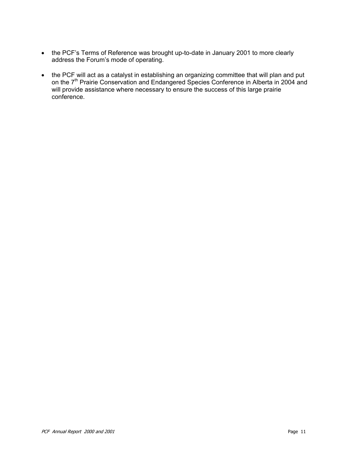- the PCF's Terms of Reference was brought up-to-date in January 2001 to more clearly address the Forum's mode of operating.
- the PCF will act as a catalyst in establishing an organizing committee that will plan and put on the 7<sup>th</sup> Prairie Conservation and Endangered Species Conference in Alberta in 2004 and will provide assistance where necessary to ensure the success of this large prairie conference.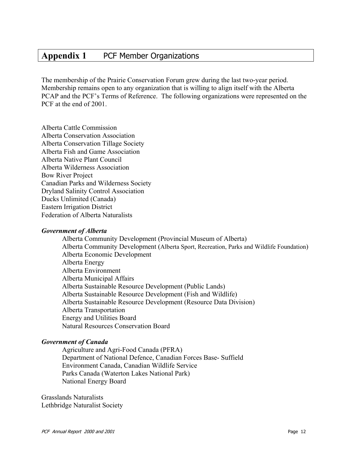### **Appendix 1** PCF Member Organizations

The membership of the Prairie Conservation Forum grew during the last two-year period. Membership remains open to any organization that is willing to align itself with the Alberta PCAP and the PCF's Terms of Reference. The following organizations were represented on the PCF at the end of 2001.

Alberta Cattle Commission Alberta Conservation Association Alberta Conservation Tillage Society Alberta Fish and Game Association Alberta Native Plant Council Alberta Wilderness Association Bow River Project Canadian Parks and Wilderness Society Dryland Salinity Control Association Ducks Unlimited (Canada) Eastern Irrigation District Federation of Alberta Naturalists

#### *Government of Alberta*

Alberta Community Development (Provincial Museum of Alberta) Alberta Community Development (Alberta Sport, Recreation, Parks and Wildlife Foundation) Alberta Economic Development Alberta Energy Alberta Environment Alberta Municipal Affairs Alberta Sustainable Resource Development (Public Lands) Alberta Sustainable Resource Development (Fish and Wildlife) Alberta Sustainable Resource Development (Resource Data Division) Alberta Transportation Energy and Utilities Board Natural Resources Conservation Board

#### *Government of Canada*

Agriculture and Agri-Food Canada (PFRA) Department of National Defence, Canadian Forces Base- Suffield Environment Canada, Canadian Wildlife Service Parks Canada (Waterton Lakes National Park) National Energy Board

Grasslands Naturalists Lethbridge Naturalist Society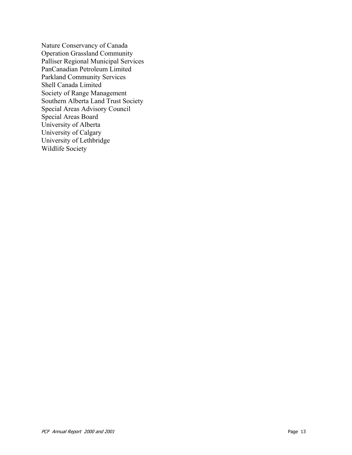Nature Conservancy of Canada Operation Grassland Community Palliser Regional Municipal Services PanCanadian Petroleum Limited Parkland Community Services Shell Canada Limited Society of Range Management Southern Alberta Land Trust Society Special Areas Advisory Council Special Areas Board University of Alberta University of Calgary University of Lethbridge Wildlife Society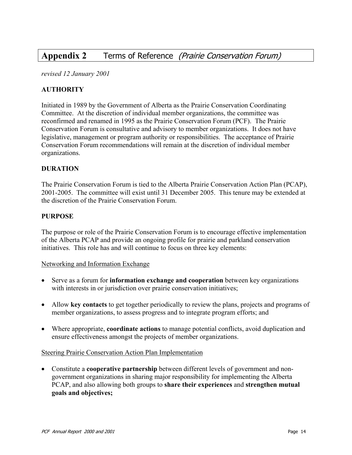### **Appendix 2** Terms of Reference (Prairie Conservation Forum)

*revised 12 January 2001* 

#### **AUTHORITY**

Initiated in 1989 by the Government of Alberta as the Prairie Conservation Coordinating Committee. At the discretion of individual member organizations, the committee was reconfirmed and renamed in 1995 as the Prairie Conservation Forum (PCF). The Prairie Conservation Forum is consultative and advisory to member organizations. It does not have legislative, management or program authority or responsibilities. The acceptance of Prairie Conservation Forum recommendations will remain at the discretion of individual member organizations.

#### **DURATION**

The Prairie Conservation Forum is tied to the Alberta Prairie Conservation Action Plan (PCAP), 2001-2005. The committee will exist until 31 December 2005. This tenure may be extended at the discretion of the Prairie Conservation Forum.

#### **PURPOSE**

The purpose or role of the Prairie Conservation Forum is to encourage effective implementation of the Alberta PCAP and provide an ongoing profile for prairie and parkland conservation initiatives. This role has and will continue to focus on three key elements:

#### Networking and Information Exchange

- Serve as a forum for **information exchange and cooperation** between key organizations with interests in or jurisdiction over prairie conservation initiatives;
- Allow **key contacts** to get together periodically to review the plans, projects and programs of member organizations, to assess progress and to integrate program efforts; and
- Where appropriate, **coordinate actions** to manage potential conflicts, avoid duplication and ensure effectiveness amongst the projects of member organizations.

#### Steering Prairie Conservation Action Plan Implementation

• Constitute a **cooperative partnership** between different levels of government and nongovernment organizations in sharing major responsibility for implementing the Alberta PCAP, and also allowing both groups to **share their experiences** and **strengthen mutual goals and objectives;**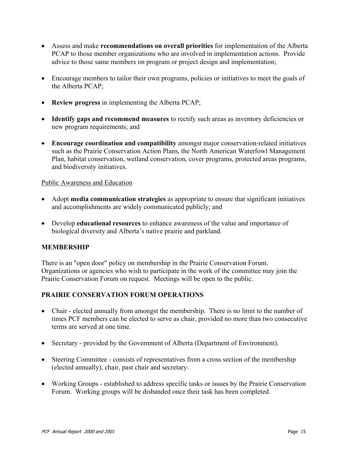- Assess and make **recommendations on overall priorities** for implementation of the Alberta PCAP to those member organizations who are involved in implementation actions. Provide advice to those same members on program or project design and implementation;
- Encourage members to tailor their own programs, policies or initiatives to meet the goals of the Alberta PCAP;
- **Review progress** in implementing the Alberta PCAP;
- **Identify gaps and recommend measures** to rectify such areas as inventory deficiencies or new program requirements; and
- **Encourage coordination and compatibility** amongst major conservation-related initiatives such as the Prairie Conservation Action Plans, the North American Waterfowl Management Plan, habitat conservation, wetland conservation, cover programs, protected areas programs, and biodiversity initiatives.

#### Public Awareness and Education

- Adopt **media communication strategies** as appropriate to ensure that significant initiatives and accomplishments are widely communicated publicly; and
- Develop **educational resources** to enhance awareness of the value and importance of biological diversity and Alberta's native prairie and parkland*.*

#### **MEMBERSHIP**

There is an "open door" policy on membership in the Prairie Conservation Forum. Organizations or agencies who wish to participate in the work of the committee may join the Prairie Conservation Forum on request. Meetings will be open to the public.

#### **PRAIRIE CONSERVATION FORUM OPERATIONS**

- Chair elected annually from amongst the membership. There is no limit to the number of times PCF members can be elected to serve as chair, provided no more than two consecutive terms are served at one time.
- Secretary provided by the Government of Alberta (Department of Environment).
- Steering Committee consists of representatives from a cross section of the membership (elected annually), chair, past chair and secretary.
- Working Groups established to address specific tasks or issues by the Prairie Conservation Forum. Working groups will be disbanded once their task has been completed.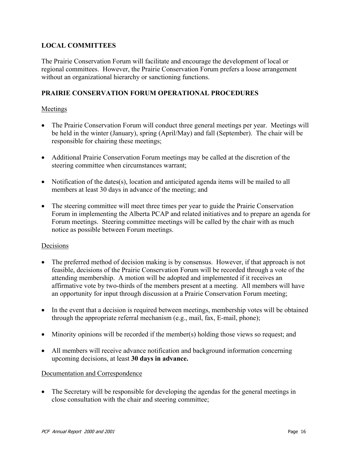#### **LOCAL COMMITTEES**

The Prairie Conservation Forum will facilitate and encourage the development of local or regional committees. However, the Prairie Conservation Forum prefers a loose arrangement without an organizational hierarchy or sanctioning functions.

#### **PRAIRIE CONSERVATION FORUM OPERATIONAL PROCEDURES**

#### Meetings

- The Prairie Conservation Forum will conduct three general meetings per year. Meetings will be held in the winter (January), spring (April/May) and fall (September). The chair will be responsible for chairing these meetings;
- Additional Prairie Conservation Forum meetings may be called at the discretion of the steering committee when circumstances warrant;
- Notification of the dates(s), location and anticipated agenda items will be mailed to all members at least 30 days in advance of the meeting; and
- The steering committee will meet three times per year to guide the Prairie Conservation Forum in implementing the Alberta PCAP and related initiatives and to prepare an agenda for Forum meetings. Steering committee meetings will be called by the chair with as much notice as possible between Forum meetings.

#### Decisions

- The preferred method of decision making is by consensus. However, if that approach is not feasible, decisions of the Prairie Conservation Forum will be recorded through a vote of the attending membership. A motion will be adopted and implemented if it receives an affirmative vote by two-thirds of the members present at a meeting. All members will have an opportunity for input through discussion at a Prairie Conservation Forum meeting;
- In the event that a decision is required between meetings, membership votes will be obtained through the appropriate referral mechanism (e.g., mail, fax, E-mail, phone);
- Minority opinions will be recorded if the member(s) holding those views so request; and
- All members will receive advance notification and background information concerning upcoming decisions, at least **30 days in advance.**

#### Documentation and Correspondence

• The Secretary will be responsible for developing the agendas for the general meetings in close consultation with the chair and steering committee;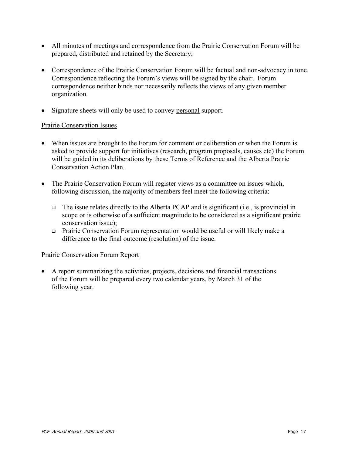- All minutes of meetings and correspondence from the Prairie Conservation Forum will be prepared, distributed and retained by the Secretary;
- Correspondence of the Prairie Conservation Forum will be factual and non-advocacy in tone. Correspondence reflecting the Forum's views will be signed by the chair. Forum correspondence neither binds nor necessarily reflects the views of any given member organization.
- Signature sheets will only be used to convey personal support.

#### Prairie Conservation Issues

- When issues are brought to the Forum for comment or deliberation or when the Forum is asked to provide support for initiatives (research, program proposals, causes etc) the Forum will be guided in its deliberations by these Terms of Reference and the Alberta Prairie Conservation Action Plan.
- The Prairie Conservation Forum will register views as a committee on issues which, following discussion, the majority of members feel meet the following criteria:
	- $\Box$  The issue relates directly to the Alberta PCAP and is significant (i.e., is provincial in scope or is otherwise of a sufficient magnitude to be considered as a significant prairie conservation issue);
	- Prairie Conservation Forum representation would be useful or will likely make a difference to the final outcome (resolution) of the issue.

#### Prairie Conservation Forum Report

• A report summarizing the activities, projects, decisions and financial transactions of the Forum will be prepared every two calendar years, by March 31 of the following year.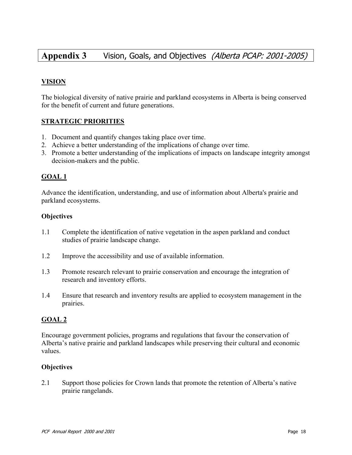### **Appendix 3** Vision, Goals, and Objectives (Alberta PCAP: 2001-2005)

#### **VISION**

The biological diversity of native prairie and parkland ecosystems in Alberta is being conserved for the benefit of current and future generations.

#### **STRATEGIC PRIORITIES**

- 1. Document and quantify changes taking place over time.
- 2. Achieve a better understanding of the implications of change over time.
- 3. Promote a better understanding of the implications of impacts on landscape integrity amongst decision-makers and the public.

#### **GOAL 1**

Advance the identification, understanding, and use of information about Alberta's prairie and parkland ecosystems.

#### **Objectives**

- 1.1 Complete the identification of native vegetation in the aspen parkland and conduct studies of prairie landscape change.
- 1.2 Improve the accessibility and use of available information.
- 1.3 Promote research relevant to prairie conservation and encourage the integration of research and inventory efforts.
- 1.4 Ensure that research and inventory results are applied to ecosystem management in the prairies.

#### **GOAL 2**

Encourage government policies, programs and regulations that favour the conservation of Alberta's native prairie and parkland landscapes while preserving their cultural and economic values.

#### **Objectives**

2.1 Support those policies for Crown lands that promote the retention of Alberta's native prairie rangelands.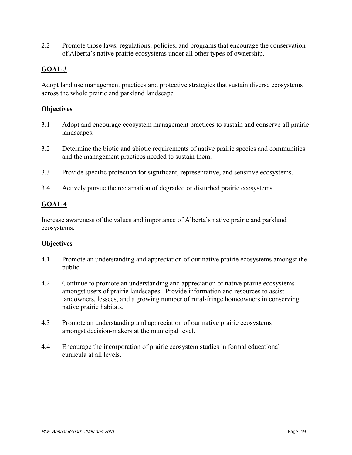2.2 Promote those laws, regulations, policies, and programs that encourage the conservation of Alberta's native prairie ecosystems under all other types of ownership.

#### **GOAL 3**

Adopt land use management practices and protective strategies that sustain diverse ecosystems across the whole prairie and parkland landscape.

#### **Objectives**

- 3.1 Adopt and encourage ecosystem management practices to sustain and conserve all prairie landscapes.
- 3.2 Determine the biotic and abiotic requirements of native prairie species and communities and the management practices needed to sustain them.
- 3.3 Provide specific protection for significant, representative, and sensitive ecosystems.
- 3.4 Actively pursue the reclamation of degraded or disturbed prairie ecosystems.

#### **GOAL 4**

Increase awareness of the values and importance of Alberta's native prairie and parkland ecosystems.

#### **Objectives**

- 4.1 Promote an understanding and appreciation of our native prairie ecosystems amongst the public.
- 4.2 Continue to promote an understanding and appreciation of native prairie ecosystems amongst users of prairie landscapes. Provide information and resources to assist landowners, lessees, and a growing number of rural-fringe homeowners in conserving native prairie habitats.
- 4.3 Promote an understanding and appreciation of our native prairie ecosystems amongst decision-makers at the municipal level.
- 4.4 Encourage the incorporation of prairie ecosystem studies in formal educational curricula at all levels.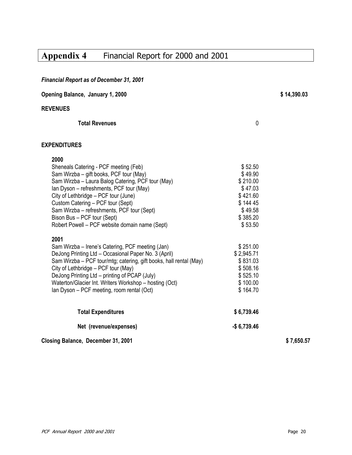## **Appendix 4** Financial Report for 2000 and 2001

| <b>Financial Report as of December 31, 2001</b>                                                                                                                                                                                                                                                                                                                                                       |                                                                                                    |             |
|-------------------------------------------------------------------------------------------------------------------------------------------------------------------------------------------------------------------------------------------------------------------------------------------------------------------------------------------------------------------------------------------------------|----------------------------------------------------------------------------------------------------|-------------|
| Opening Balance, January 1, 2000                                                                                                                                                                                                                                                                                                                                                                      |                                                                                                    | \$14,390.03 |
| <b>REVENUES</b>                                                                                                                                                                                                                                                                                                                                                                                       |                                                                                                    |             |
| <b>Total Revenues</b>                                                                                                                                                                                                                                                                                                                                                                                 | 0                                                                                                  |             |
| <b>EXPENDITURES</b>                                                                                                                                                                                                                                                                                                                                                                                   |                                                                                                    |             |
| 2000<br>Sheneals Catering - PCF meeting (Feb)<br>Sam Wirzba - gift books, PCF tour (May)<br>Sam Wirzba - Laura Balog Catering, PCF tour (May)<br>Ian Dyson - refreshments, PCF tour (May)<br>City of Lethbridge – PCF tour (June)<br>Custom Catering - PCF tour (Sept)<br>Sam Wirzba - refreshments, PCF tour (Sept)<br>Bison Bus - PCF tour (Sept)<br>Robert Powell - PCF website domain name (Sept) | \$52.50<br>\$49.90<br>\$210.00<br>\$47.03<br>\$421.60<br>\$14445<br>\$49.58<br>\$385.20<br>\$53.50 |             |
| 2001<br>Sam Wirzba - Irene's Catering, PCF meeting (Jan)<br>DeJong Printing Ltd - Occasional Paper No. 3 (April)<br>Sam Wirzba - PCF tour/mtg; catering, gift books, hall rental (May)<br>City of Lethbridge - PCF tour (May)<br>DeJong Printing Ltd - printing of PCAP (July)<br>Waterton/Glacier Int. Writers Workshop - hosting (Oct)<br>Ian Dyson - PCF meeting, room rental (Oct)                | \$251.00<br>\$2,945.71<br>\$831.03<br>\$508.16<br>\$525.10<br>\$100.00<br>\$164.70                 |             |
| <b>Total Expenditures</b>                                                                                                                                                                                                                                                                                                                                                                             | \$6,739.46                                                                                         |             |
| Net (revenue/expenses)                                                                                                                                                                                                                                                                                                                                                                                | $-$6,739.46$                                                                                       |             |
| Closing Balance, December 31, 2001                                                                                                                                                                                                                                                                                                                                                                    |                                                                                                    | \$7,650.57  |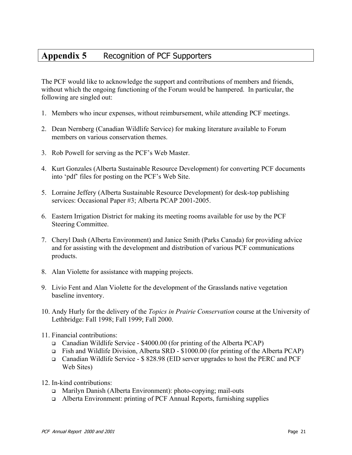### **Appendix 5** Recognition of PCF Supporters

The PCF would like to acknowledge the support and contributions of members and friends, without which the ongoing functioning of the Forum would be hampered. In particular, the following are singled out:

- 1. Members who incur expenses, without reimbursement, while attending PCF meetings.
- 2. Dean Nernberg (Canadian Wildlife Service) for making literature available to Forum members on various conservation themes.
- 3. Rob Powell for serving as the PCF's Web Master.
- 4. Kurt Gonzales (Alberta Sustainable Resource Development) for converting PCF documents into 'pdf' files for posting on the PCF's Web Site.
- 5. Lorraine Jeffery (Alberta Sustainable Resource Development) for desk-top publishing services: Occasional Paper #3; Alberta PCAP 2001-2005.
- 6. Eastern Irrigation District for making its meeting rooms available for use by the PCF Steering Committee.
- 7. Cheryl Dash (Alberta Environment) and Janice Smith (Parks Canada) for providing advice and for assisting with the development and distribution of various PCF communications products.
- 8. Alan Violette for assistance with mapping projects.
- 9. Livio Fent and Alan Violette for the development of the Grasslands native vegetation baseline inventory.
- 10. Andy Hurly for the delivery of the *Topics in Prairie Conservation* course at the University of Lethbridge: Fall 1998; Fall 1999; Fall 2000.
- 11. Financial contributions:
	- Canadian Wildlife Service \$4000.00 (for printing of the Alberta PCAP)
	- Fish and Wildlife Division, Alberta SRD \$1000.00 (for printing of the Alberta PCAP)
	- Canadian Wildlife Service \$ 828.98 (EID server upgrades to host the PERC and PCF Web Sites)
- 12. In-kind contributions:
	- Marilyn Danish (Alberta Environment): photo-copying; mail-outs
	- Alberta Environment: printing of PCF Annual Reports, furnishing supplies